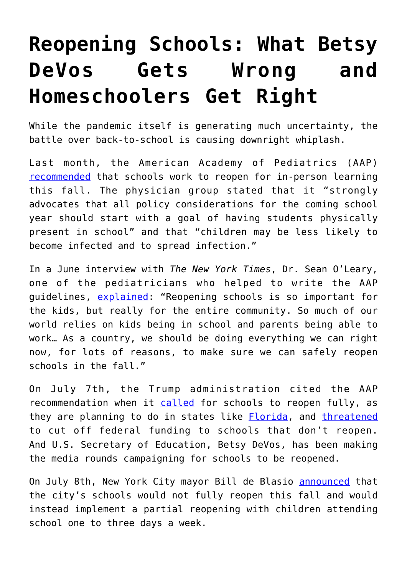## **[Reopening Schools: What Betsy](https://intellectualtakeout.org/2020/07/reopening-schools-what-betsy-devos-gets-wrong-and-homeschoolers-get-right/) [DeVos Gets Wrong and](https://intellectualtakeout.org/2020/07/reopening-schools-what-betsy-devos-gets-wrong-and-homeschoolers-get-right/) [Homeschoolers Get Right](https://intellectualtakeout.org/2020/07/reopening-schools-what-betsy-devos-gets-wrong-and-homeschoolers-get-right/)**

While the pandemic itself is generating much uncertainty, the battle over back-to-school is causing downright whiplash.

Last month, the American Academy of Pediatrics (AAP) [recommended](https://services.aap.org/en/pages/2019-novel-coronavirus-covid-19-infections/clinical-guidance/covid-19-planning-considerations-return-to-in-person-education-in-schools/) that schools work to reopen for in-person learning this fall. The physician group stated that it "strongly advocates that all policy considerations for the coming school year should start with a goal of having students physically present in school" and that "children may be less likely to become infected and to spread infection."

In a June interview with *The New York Times*, Dr. Sean O'Leary, one of the pediatricians who helped to write the AAP guidelines, [explained](https://www.nytimes.com/2020/06/30/us/coronavirus-schools-reopening-guidelines-aap.html): "Reopening schools is so important for the kids, but really for the entire community. So much of our world relies on kids being in school and parents being able to work… As a country, we should be doing everything we can right now, for lots of reasons, to make sure we can safely reopen schools in the fall."

On July 7th, the Trump administration cited the AAP recommendation when it [called](https://www.whitehouse.gov/briefings-statements/remarks-president-trump-safely-reopening-americas-schools/) for schools to reopen fully, as they are planning to do in states like **[Florida](https://www.npr.org/sections/coronavirus-live-updates/2020/07/07/888320203/florida-orders-schools-to-reopen-in-the-fall-for-in-person-instruction)**, and [threatened](https://www.usatoday.com/story/news/politics/2020/07/07/coronavirus-donald-trump-urges-governors-reopen-schools-fall/5390294002/) to cut off federal funding to schools that don't reopen. And U.S. Secretary of Education, Betsy DeVos, has been making the media rounds campaigning for schools to be reopened.

On July 8th, New York City mayor Bill de Blasio **announced** that the city's schools would not fully reopen this fall and would instead implement a partial reopening with children attending school one to three days a week.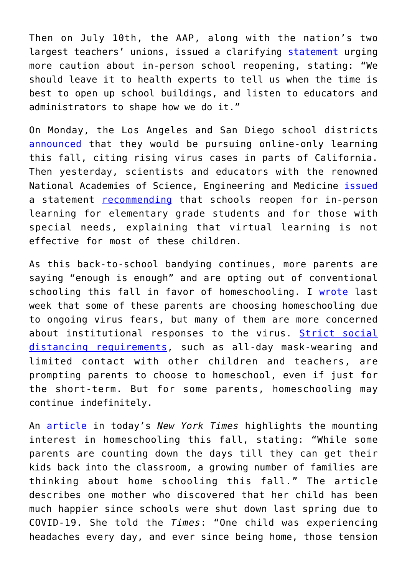Then on July 10th, the AAP, along with the nation's two largest teachers' unions, issued a clarifying [statement](https://services.aap.org/en/news-room/news-releases/aap/2020/pediatricians-educators-and-superintendents-urge-a-safe-return-to-school-this-fall/) urging more caution about in-person school reopening, stating: "We should leave it to health experts to tell us when the time is best to open up school buildings, and listen to educators and administrators to shape how we do it."

On Monday, the Los Angeles and San Diego school districts [announced](https://www.npr.org/sections/coronavirus-live-updates/2020/07/13/890475212/los-angeles-and-san-diego-schools-announce-online-only-fall) that they would be pursuing online-only learning this fall, citing rising virus cases in parts of California. Then yesterday, scientists and educators with the renowned National Academies of Science, Engineering and Medicine [issued](https://www.nationalacademies.org/news/2020/07/schools-should-prioritize-reopening-in-fall-2020-especially-for-grades-k-5-while-weighing-risks-and-benefits) a statement [recommending](https://www.nytimes.com/2020/07/15/health/coronavirus-schools-reopening.html) that schools reopen for in-person learning for elementary grade students and for those with special needs, explaining that virtual learning is not effective for most of these children.

As this back-to-school bandying continues, more parents are saying "enough is enough" and are opting out of conventional schooling this fall in favor of homeschooling. I [wrote](https://fee.org/articles/back-to-school-no-thanks-say-millions-of-new-homeschooling-parents/) last week that some of these parents are choosing homeschooling due to ongoing virus fears, but many of them are more concerned about institutional responses to the virus. [Strict social](https://fee.org/articles/the-cdc-s-guidelines-for-back-to-school-under-covid-sound-traumatizing/) [distancing requirements,](https://fee.org/articles/the-cdc-s-guidelines-for-back-to-school-under-covid-sound-traumatizing/) such as all-day mask-wearing and limited contact with other children and teachers, are prompting parents to choose to homeschool, even if just for the short-term. But for some parents, homeschooling may continue indefinitely.

An [article](https://www.nytimes.com/2020/07/16/well/family/not-everyone-hates-school-at-home.html) in today's *New York Times* highlights the mounting interest in homeschooling this fall, stating: "While some parents are counting down the days till they can get their kids back into the classroom, a growing number of families are thinking about home schooling this fall." The article describes one mother who discovered that her child has been much happier since schools were shut down last spring due to COVID-19. She told the *Times*: "One child was experiencing headaches every day, and ever since being home, those tension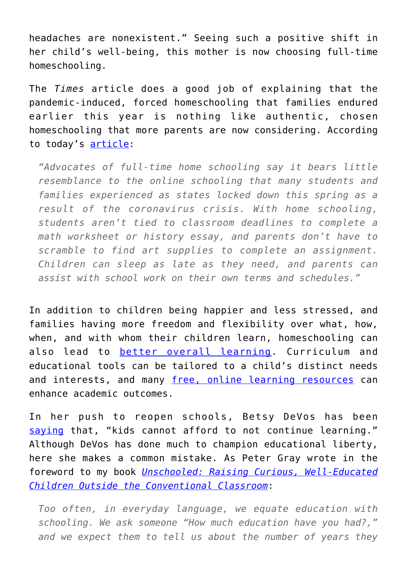headaches are nonexistent." Seeing such a positive shift in her child's well-being, this mother is now choosing full-time homeschooling.

The *Times* article does a good job of explaining that the pandemic-induced, forced homeschooling that families endured earlier this year is nothing like authentic, chosen homeschooling that more parents are now considering. According to today's [article:](https://www.nytimes.com/2020/07/16/well/family/not-everyone-hates-school-at-home.html)

*"Advocates of full-time home schooling say it bears little resemblance to the online schooling that many students and families experienced as states locked down this spring as a result of the coronavirus crisis. With home schooling, students aren't tied to classroom deadlines to complete a math worksheet or history essay, and parents don't have to scramble to find art supplies to complete an assignment. Children can sleep as late as they need, and parents can assist with school work on their own terms and schedules."*

In addition to children being happier and less stressed, and families having more freedom and flexibility over what, how, when, and with whom their children learn, homeschooling can also lead to [better overall learning](http://efinstitute.org/academic-achievement-of-home-schooled-students-literature-review/). Curriculum and educational tools can be tailored to a child's distinct needs and interests, and many [free, online learning resources](https://www.cato.org/blog/free-online-learning-resources-when-coronavirus-closes-schools) can enhance academic outcomes.

In her push to reopen schools, Betsy DeVos has been [saying](https://www.axios.com/besty-devos-schools-reopen-federal-funds-2d6341f2-c490-4e36-b996-58cf23447087.html?utm_source=morning_brew) that, "kids cannot afford to not continue learning." Although DeVos has done much to champion educational liberty, here she makes a common mistake. As Peter Gray wrote in the foreword to my book *[Unschooled: Raising Curious, Well-Educated](https://fee.org/articles/mr-jones-shows-fake-news-is-a-historic-reality-and-no-laughing-matter/) [Children Outside the Conventional Classroom](https://fee.org/articles/mr-jones-shows-fake-news-is-a-historic-reality-and-no-laughing-matter/)*:

*Too often, in everyday language, we equate education with schooling. We ask someone "How much education have you had?," and we expect them to tell us about the number of years they*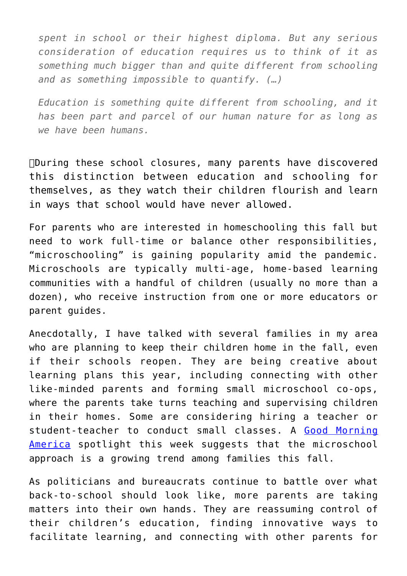*spent in school or their highest diploma. But any serious consideration of education requires us to think of it as something much bigger than and quite different from schooling and as something impossible to quantify. (…)*

*Education is something quite different from schooling, and it has been part and parcel of our human nature for as long as we have been humans.*

During these school closures, many parents have discovered this distinction between education and schooling for themselves, as they watch their children flourish and learn in ways that school would have never allowed.

For parents who are interested in homeschooling this fall but need to work full-time or balance other responsibilities, "microschooling" is gaining popularity amid the pandemic. Microschools are typically multi-age, home-based learning communities with a handful of children (usually no more than a dozen), who receive instruction from one or more educators or parent guides.

Anecdotally, I have talked with several families in my area who are planning to keep their children home in the fall, even if their schools reopen. They are being creative about learning plans this year, including connecting with other like-minded parents and forming small microschool co-ops, where the parents take turns teaching and supervising children in their homes. Some are considering hiring a teacher or student-teacher to conduct small classes. A [Good Morning](https://www.goodmorningamerica.com/family/story/microschooling-parents-creative-school-fall-71745030) [America](https://www.goodmorningamerica.com/family/story/microschooling-parents-creative-school-fall-71745030) spotlight this week suggests that the microschool approach is a growing trend among families this fall.

As politicians and bureaucrats continue to battle over what back-to-school should look like, more parents are taking matters into their own hands. They are reassuming control of their children's education, finding innovative ways to facilitate learning, and connecting with other parents for